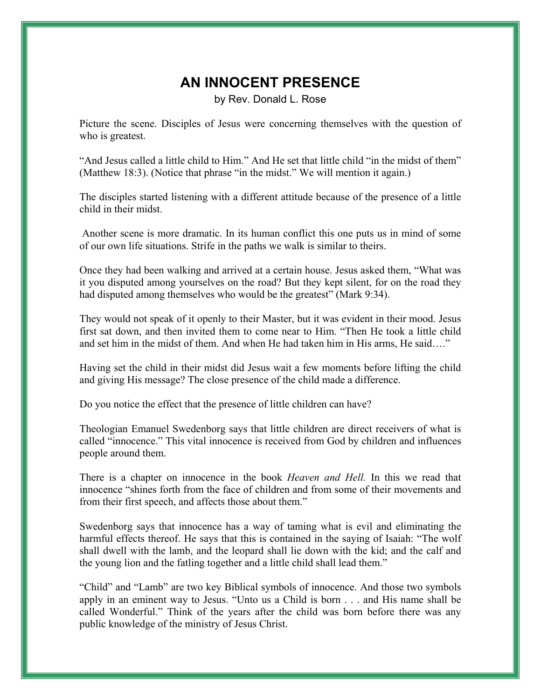## **AN INNOCENT PRESENCE**

by Rev. Donald L. Rose

Picture the scene. Disciples of Jesus were concerning themselves with the question of who is greatest.

"And Jesus called a little child to Him." And He set that little child "in the midst of them" (Matthew 18:3). (Notice that phrase "in the midst." We will mention it again.)

The disciples started listening with a different attitude because of the presence of a little child in their midst.

 Another scene is more dramatic. In its human conflict this one puts us in mind of some of our own life situations. Strife in the paths we walk is similar to theirs.

Once they had been walking and arrived at a certain house. Jesus asked them, "What was it you disputed among yourselves on the road? But they kept silent, for on the road they had disputed among themselves who would be the greatest" (Mark 9:34).

They would not speak of it openly to their Master, but it was evident in their mood. Jesus first sat down, and then invited them to come near to Him. "Then He took a little child and set him in the midst of them. And when He had taken him in His arms, He said…."

Having set the child in their midst did Jesus wait a few moments before lifting the child and giving His message? The close presence of the child made a difference.

Do you notice the effect that the presence of little children can have?

Theologian Emanuel Swedenborg says that little children are direct receivers of what is called "innocence." This vital innocence is received from God by children and influences people around them.

There is a chapter on innocence in the book *Heaven and Hell.* In this we read that innocence "shines forth from the face of children and from some of their movements and from their first speech, and affects those about them."

Swedenborg says that innocence has a way of taming what is evil and eliminating the harmful effects thereof. He says that this is contained in the saying of Isaiah: "The wolf shall dwell with the lamb, and the leopard shall lie down with the kid; and the calf and the young lion and the fatling together and a little child shall lead them."

"Child" and "Lamb" are two key Biblical symbols of innocence. And those two symbols apply in an eminent way to Jesus. "Unto us a Child is born . . . and His name shall be called Wonderful." Think of the years after the child was born before there was any public knowledge of the ministry of Jesus Christ.